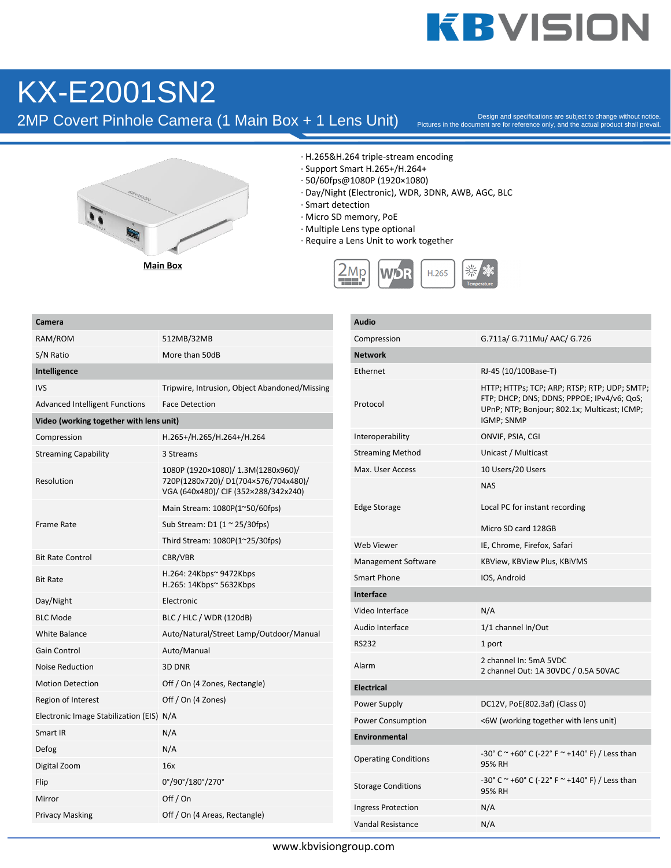### KX-E2001SN2

2MP Covert Pinhole Camera (1 Main Box + 1 Lens Unit)

Pictures in the document are for reference only, and the actual product shall prevail.



**Main Box**

- · H.265&H.264 triple-stream encoding
- · Support Smart H.265+/H.264+
- · 50/60fps@1080P (1920×1080)
- · Day/Night (Electronic), WDR, 3DNR, AWB, AGC, BLC
- · Smart detection
- · Micro SD memory, PoE
- · Multiple Lens type optional
- · Require a Lens Unit to work together



| RAM/ROM<br>512MB/32MB<br>More than 50dB<br>Tripwire, Intrusion, Object Abandoned/Missing<br><b>Face Detection</b><br>H.265+/H.265/H.264+/H.264<br>3 Streams<br>1080P (1920×1080)/ 1.3M(1280x960)/<br>Resolution<br>720P(1280x720)/D1(704×576/704x480)/<br>VGA (640x480)/ CIF (352×288/342x240)<br>Main Stream: 1080P(1~50/60fps)<br><b>Frame Rate</b><br>Sub Stream: D1 (1 ~ 25/30fps)<br>Third Stream: 1080P(1~25/30fps)<br><b>Bit Rate Control</b><br>CBR/VBR<br>H.264: 24Kbps~ 9472Kbps<br><b>Bit Rate</b><br>H.265: 14Kbps~ 5632Kbps<br>Day/Night<br>Electronic<br><b>BLC Mode</b><br>BLC / HLC / WDR (120dB)<br>Auto/Natural/Street Lamp/Outdoor/Manual<br>Auto/Manual<br><b>Noise Reduction</b><br>3D DNR<br><b>Motion Detection</b><br>Off / On (4 Zones, Rectangle)<br>Off / On (4 Zones)<br>Region of Interest<br>Electronic Image Stabilization (EIS) N/A<br>N/A<br>N/A<br>Defog<br>Digital Zoom<br>16x<br>0°/90°/180°/270°<br>Off / On<br>Mirror<br><b>Privacy Masking</b><br>Off / On (4 Areas, Rectangle) | Camera                                  |  |  |
|------------------------------------------------------------------------------------------------------------------------------------------------------------------------------------------------------------------------------------------------------------------------------------------------------------------------------------------------------------------------------------------------------------------------------------------------------------------------------------------------------------------------------------------------------------------------------------------------------------------------------------------------------------------------------------------------------------------------------------------------------------------------------------------------------------------------------------------------------------------------------------------------------------------------------------------------------------------------------------------------------------------------|-----------------------------------------|--|--|
|                                                                                                                                                                                                                                                                                                                                                                                                                                                                                                                                                                                                                                                                                                                                                                                                                                                                                                                                                                                                                        |                                         |  |  |
|                                                                                                                                                                                                                                                                                                                                                                                                                                                                                                                                                                                                                                                                                                                                                                                                                                                                                                                                                                                                                        | S/N Ratio                               |  |  |
|                                                                                                                                                                                                                                                                                                                                                                                                                                                                                                                                                                                                                                                                                                                                                                                                                                                                                                                                                                                                                        | Intelligence                            |  |  |
|                                                                                                                                                                                                                                                                                                                                                                                                                                                                                                                                                                                                                                                                                                                                                                                                                                                                                                                                                                                                                        | <b>IVS</b>                              |  |  |
|                                                                                                                                                                                                                                                                                                                                                                                                                                                                                                                                                                                                                                                                                                                                                                                                                                                                                                                                                                                                                        | <b>Advanced Intelligent Functions</b>   |  |  |
|                                                                                                                                                                                                                                                                                                                                                                                                                                                                                                                                                                                                                                                                                                                                                                                                                                                                                                                                                                                                                        | Video (working together with lens unit) |  |  |
|                                                                                                                                                                                                                                                                                                                                                                                                                                                                                                                                                                                                                                                                                                                                                                                                                                                                                                                                                                                                                        | Compression                             |  |  |
|                                                                                                                                                                                                                                                                                                                                                                                                                                                                                                                                                                                                                                                                                                                                                                                                                                                                                                                                                                                                                        | <b>Streaming Capability</b>             |  |  |
|                                                                                                                                                                                                                                                                                                                                                                                                                                                                                                                                                                                                                                                                                                                                                                                                                                                                                                                                                                                                                        |                                         |  |  |
|                                                                                                                                                                                                                                                                                                                                                                                                                                                                                                                                                                                                                                                                                                                                                                                                                                                                                                                                                                                                                        |                                         |  |  |
|                                                                                                                                                                                                                                                                                                                                                                                                                                                                                                                                                                                                                                                                                                                                                                                                                                                                                                                                                                                                                        |                                         |  |  |
|                                                                                                                                                                                                                                                                                                                                                                                                                                                                                                                                                                                                                                                                                                                                                                                                                                                                                                                                                                                                                        |                                         |  |  |
|                                                                                                                                                                                                                                                                                                                                                                                                                                                                                                                                                                                                                                                                                                                                                                                                                                                                                                                                                                                                                        |                                         |  |  |
|                                                                                                                                                                                                                                                                                                                                                                                                                                                                                                                                                                                                                                                                                                                                                                                                                                                                                                                                                                                                                        |                                         |  |  |
|                                                                                                                                                                                                                                                                                                                                                                                                                                                                                                                                                                                                                                                                                                                                                                                                                                                                                                                                                                                                                        |                                         |  |  |
|                                                                                                                                                                                                                                                                                                                                                                                                                                                                                                                                                                                                                                                                                                                                                                                                                                                                                                                                                                                                                        |                                         |  |  |
|                                                                                                                                                                                                                                                                                                                                                                                                                                                                                                                                                                                                                                                                                                                                                                                                                                                                                                                                                                                                                        | <b>White Balance</b>                    |  |  |
|                                                                                                                                                                                                                                                                                                                                                                                                                                                                                                                                                                                                                                                                                                                                                                                                                                                                                                                                                                                                                        | <b>Gain Control</b>                     |  |  |
|                                                                                                                                                                                                                                                                                                                                                                                                                                                                                                                                                                                                                                                                                                                                                                                                                                                                                                                                                                                                                        |                                         |  |  |
|                                                                                                                                                                                                                                                                                                                                                                                                                                                                                                                                                                                                                                                                                                                                                                                                                                                                                                                                                                                                                        |                                         |  |  |
|                                                                                                                                                                                                                                                                                                                                                                                                                                                                                                                                                                                                                                                                                                                                                                                                                                                                                                                                                                                                                        |                                         |  |  |
|                                                                                                                                                                                                                                                                                                                                                                                                                                                                                                                                                                                                                                                                                                                                                                                                                                                                                                                                                                                                                        |                                         |  |  |
|                                                                                                                                                                                                                                                                                                                                                                                                                                                                                                                                                                                                                                                                                                                                                                                                                                                                                                                                                                                                                        | Smart IR                                |  |  |
|                                                                                                                                                                                                                                                                                                                                                                                                                                                                                                                                                                                                                                                                                                                                                                                                                                                                                                                                                                                                                        |                                         |  |  |
|                                                                                                                                                                                                                                                                                                                                                                                                                                                                                                                                                                                                                                                                                                                                                                                                                                                                                                                                                                                                                        |                                         |  |  |
|                                                                                                                                                                                                                                                                                                                                                                                                                                                                                                                                                                                                                                                                                                                                                                                                                                                                                                                                                                                                                        | Flip                                    |  |  |
|                                                                                                                                                                                                                                                                                                                                                                                                                                                                                                                                                                                                                                                                                                                                                                                                                                                                                                                                                                                                                        |                                         |  |  |
|                                                                                                                                                                                                                                                                                                                                                                                                                                                                                                                                                                                                                                                                                                                                                                                                                                                                                                                                                                                                                        |                                         |  |  |

| Audio                       |                                                                                                                                                          |  |  |
|-----------------------------|----------------------------------------------------------------------------------------------------------------------------------------------------------|--|--|
| Compression                 | G.711a/ G.711Mu/ AAC/ G.726                                                                                                                              |  |  |
| <b>Network</b>              |                                                                                                                                                          |  |  |
| Ethernet                    | RJ-45 (10/100Base-T)                                                                                                                                     |  |  |
| Protocol                    | HTTP; HTTPs; TCP; ARP; RTSP; RTP; UDP; SMTP;<br>FTP; DHCP; DNS; DDNS; PPPOE; IPv4/v6; QoS;<br>UPnP; NTP; Bonjour; 802.1x; Multicast; ICMP;<br>IGMP; SNMP |  |  |
| Interoperability            | ONVIF, PSIA, CGI                                                                                                                                         |  |  |
| <b>Streaming Method</b>     | Unicast / Multicast                                                                                                                                      |  |  |
| Max. User Access            | 10 Users/20 Users                                                                                                                                        |  |  |
|                             | <b>NAS</b>                                                                                                                                               |  |  |
| Edge Storage                | Local PC for instant recording                                                                                                                           |  |  |
|                             | Micro SD card 128GB                                                                                                                                      |  |  |
| Web Viewer                  | IE, Chrome, Firefox, Safari                                                                                                                              |  |  |
| Management Software         | KBView, KBView Plus, KBiVMS                                                                                                                              |  |  |
| Smart Phone                 | IOS, Android                                                                                                                                             |  |  |
| Interface                   |                                                                                                                                                          |  |  |
| Video Interface             | N/A                                                                                                                                                      |  |  |
| Audio Interface             | 1/1 channel In/Out                                                                                                                                       |  |  |
| <b>RS232</b>                | 1 port                                                                                                                                                   |  |  |
| Alarm                       | 2 channel In: 5mA 5VDC<br>2 channel Out: 1A 30VDC / 0.5A 50VAC                                                                                           |  |  |
| <b>Electrical</b>           |                                                                                                                                                          |  |  |
| Power Supply                | DC12V, PoE(802.3af) (Class 0)                                                                                                                            |  |  |
| <b>Power Consumption</b>    | <6W (working together with lens unit)                                                                                                                    |  |  |
| <b>Environmental</b>        |                                                                                                                                                          |  |  |
| <b>Operating Conditions</b> | -30° C ~ +60° C (-22° F ~ +140° F) / Less than<br>95% RH                                                                                                 |  |  |
| <b>Storage Conditions</b>   | -30° C ~ +60° C (-22° F ~ +140° F) / Less than<br>95% RH                                                                                                 |  |  |
| Ingress Protection          | N/A                                                                                                                                                      |  |  |
| Vandal Resistance           | N/A                                                                                                                                                      |  |  |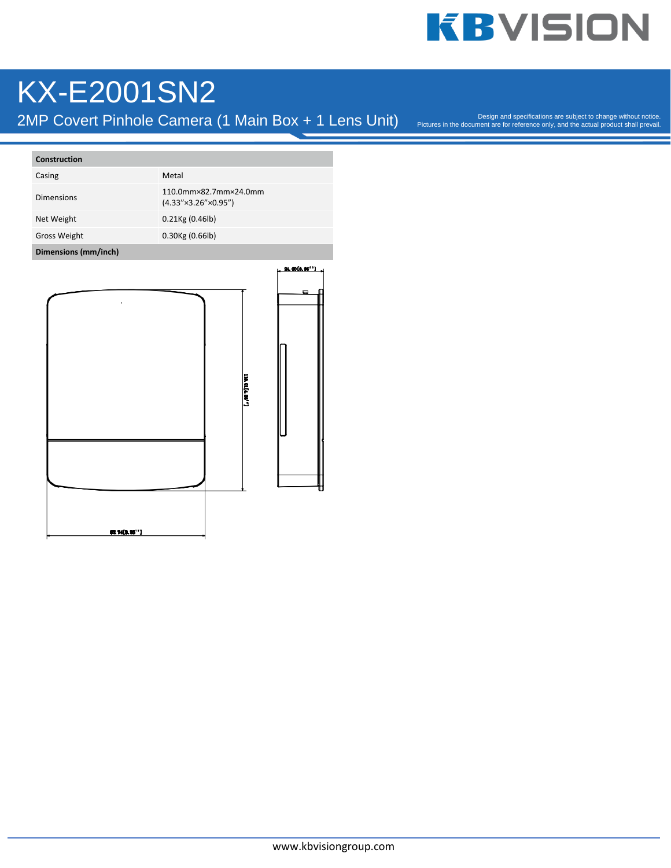### KX-E2001SN2

2MP Covert Pinhole Camera (1 Main Box + 1 Lens Unit)

Pictures in the document are for reference only, and the actual product shall prevail.

| Construction        |                                                                 |
|---------------------|-----------------------------------------------------------------|
| Casing              | Metal                                                           |
| <b>Dimensions</b>   | 110.0mm×82.7mm×24.0mm<br>$(4.33'' \times 3.26'' \times 0.95'')$ |
| Net Weight          | $0.21$ Kg $(0.46$ lb)                                           |
| <b>Gross Weight</b> | $0.30$ Kg $(0.66$ lb)                                           |

#### **Dimensions (mm/inch)**

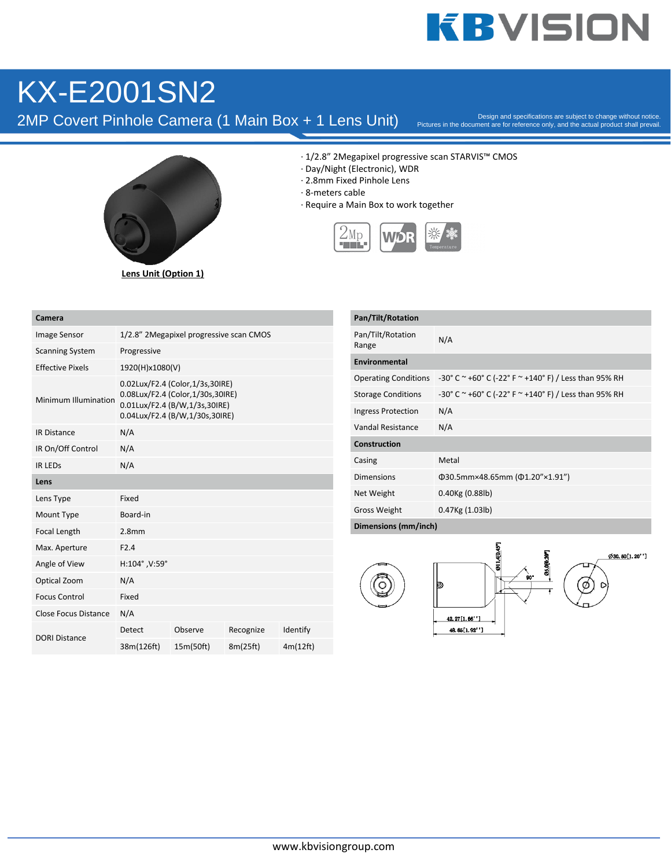### KX-E2001SN2

2MP Covert Pinhole Camera (1 Main Box + 1 Lens Unit)

Pictures in the document are for reference only, and the actual product shall prevail.



**Lens Unit (Option 1)**

· 1/2.8" 2Megapixel progressive scan STARVIS™ CMOS

- · Day/Night (Electronic), WDR
- · 2.8mm Fixed Pinhole Lens
- · 8-meters cable
- · Require a Main Box to work together



| Camera                  |                                                                                                                                        |           |           |          |
|-------------------------|----------------------------------------------------------------------------------------------------------------------------------------|-----------|-----------|----------|
| <b>Image Sensor</b>     | 1/2.8" 2Megapixel progressive scan CMOS                                                                                                |           |           |          |
| <b>Scanning System</b>  | Progressive                                                                                                                            |           |           |          |
| <b>Effective Pixels</b> | 1920(H)x1080(V)                                                                                                                        |           |           |          |
| Minimum Illumination    | 0.02Lux/F2.4 (Color,1/3s,30IRE)<br>0.08Lux/F2.4 (Color,1/30s,30IRE)<br>0.01Lux/F2.4 (B/W,1/3s,30IRE)<br>0.04Lux/F2.4 (B/W,1/30s,30IRE) |           |           |          |
| <b>IR Distance</b>      | N/A                                                                                                                                    |           |           |          |
| IR On/Off Control       | N/A                                                                                                                                    |           |           |          |
| <b>IR LEDS</b>          | N/A                                                                                                                                    |           |           |          |
| Lens                    |                                                                                                                                        |           |           |          |
| Lens Type               | Fixed                                                                                                                                  |           |           |          |
| Mount Type              | Board-in                                                                                                                               |           |           |          |
| Focal Length            | 2.8 <sub>mm</sub>                                                                                                                      |           |           |          |
| Max. Aperture           | F2.4                                                                                                                                   |           |           |          |
| Angle of View           | H:104°, V:59°                                                                                                                          |           |           |          |
| Optical Zoom            | N/A                                                                                                                                    |           |           |          |
| <b>Focus Control</b>    | Fixed                                                                                                                                  |           |           |          |
| Close Focus Distance    | N/A                                                                                                                                    |           |           |          |
|                         | Detect                                                                                                                                 | Observe   | Recognize | Identify |
| <b>DORI Distance</b>    | 38m(126ft)                                                                                                                             | 15m(50ft) | 8m(25ft)  | 4m(12ft) |

| Pan/Tilt/Rotation           |                                                                 |  |
|-----------------------------|-----------------------------------------------------------------|--|
| Pan/Tilt/Rotation<br>Range  | N/A                                                             |  |
| Environmental               |                                                                 |  |
| <b>Operating Conditions</b> | -30° C $\sim$ +60° C (-22° F $\sim$ +140° F) / Less than 95% RH |  |
| <b>Storage Conditions</b>   | -30° C $\sim$ +60° C (-22° F $\sim$ +140° F) / Less than 95% RH |  |
| <b>Ingress Protection</b>   | N/A                                                             |  |
| Vandal Resistance           | N/A                                                             |  |
| Construction                |                                                                 |  |
| Casing                      | Metal                                                           |  |
| <b>Dimensions</b>           | Φ30.5mm×48.65mm (Φ1.20"×1.91")                                  |  |
| Net Weight                  | 0.40Kg (0.88lb)                                                 |  |
| <b>Gross Weight</b>         | 0.47Kg (1.03lb)                                                 |  |
| Dimensions (mm/inch)        |                                                                 |  |